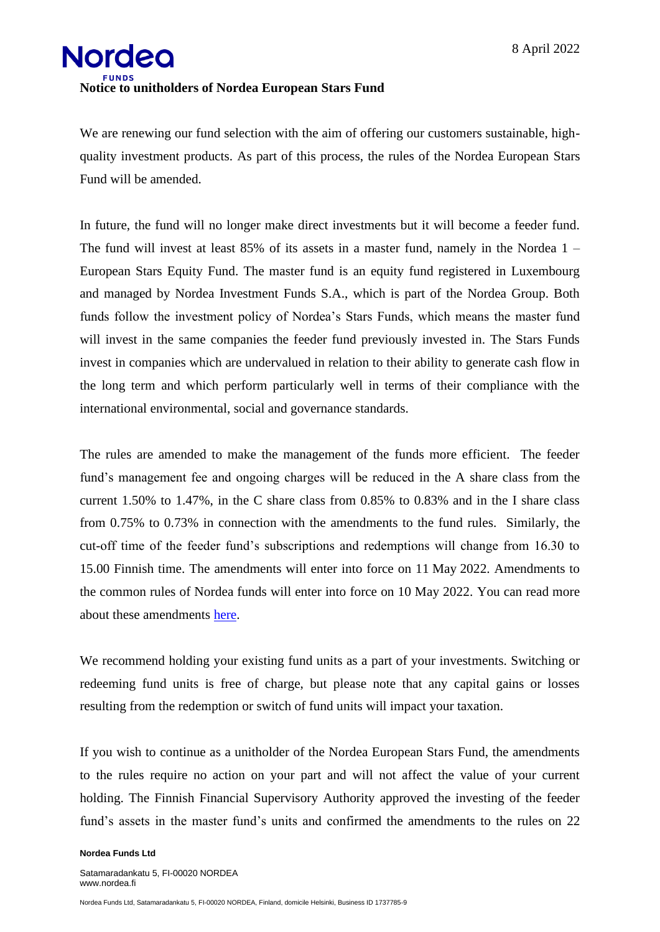

We are renewing our fund selection with the aim of offering our customers sustainable, highquality investment products. As part of this process, the rules of the Nordea European Stars Fund will be amended.

In future, the fund will no longer make direct investments but it will become a feeder fund. The fund will invest at least 85% of its assets in a master fund, namely in the Nordea 1 – European Stars Equity Fund. The master fund is an equity fund registered in Luxembourg and managed by Nordea Investment Funds S.A., which is part of the Nordea Group. Both funds follow the investment policy of Nordea's Stars Funds, which means the master fund will invest in the same companies the feeder fund previously invested in. The Stars Funds invest in companies which are undervalued in relation to their ability to generate cash flow in the long term and which perform particularly well in terms of their compliance with the international environmental, social and governance standards.

The rules are amended to make the management of the funds more efficient. The feeder fund's management fee and ongoing charges will be reduced in the A share class from the current 1.50% to 1.47%, in the C share class from 0.85% to 0.83% and in the I share class from 0.75% to 0.73% in connection with the amendments to the fund rules. Similarly, the cut-off time of the feeder fund's subscriptions and redemptions will change from 16.30 to 15.00 Finnish time. The amendments will enter into force on 11 May 2022. Amendments to the common rules of Nordea funds will enter into force on 10 May 2022. You can read more about these amendments [here.](https://www.nordea.fi/Images/147-435150/Notice%20to%20the%20unitholders%20of%20Nordea%20funds.pdf)

We recommend holding your existing fund units as a part of your investments. Switching or redeeming fund units is free of charge, but please note that any capital gains or losses resulting from the redemption or switch of fund units will impact your taxation.

If you wish to continue as a unitholder of the Nordea European Stars Fund, the amendments to the rules require no action on your part and will not affect the value of your current holding. The Finnish Financial Supervisory Authority approved the investing of the feeder fund's assets in the master fund's units and confirmed the amendments to the rules on 22

## **Nordea Funds Ltd**

Satamaradankatu 5, FI-00020 NORDEA www.nordea.fi